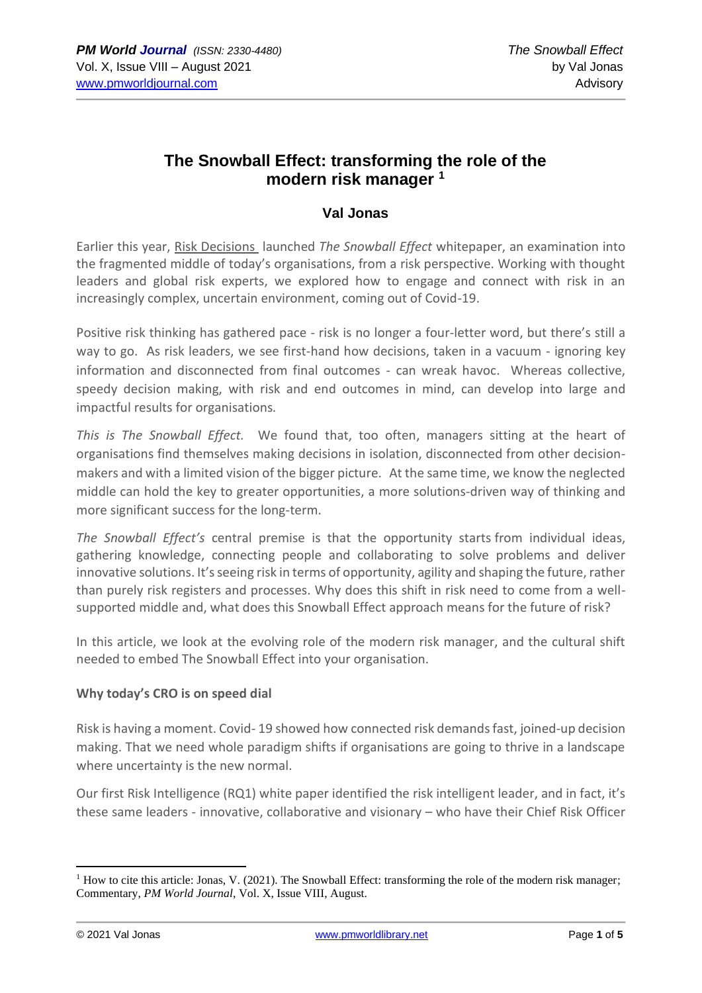### **The Snowball Effect: transforming the role of the modern risk manager <sup>1</sup>**

### **Val Jonas**

Earlier this year, [Risk Decisions](https://protect-eu.mimecast.com/s/WRNnCWLEEFQLgm8u609aK/) launched *The Snowball Effect* whitepaper, an examination into the fragmented middle of today's organisations, from a risk perspective. Working with thought leaders and global risk experts, we explored how to engage and connect with risk in an increasingly complex, uncertain environment, coming out of Covid-19.

Positive risk thinking has gathered pace - risk is no longer a four-letter word, but there's still a way to go. As risk leaders, we see first-hand how decisions, taken in a vacuum - ignoring key information and disconnected from final outcomes - can wreak havoc. Whereas collective, speedy decision making, with risk and end outcomes in mind, can develop into large and impactful results for organisations*.* 

*This is The Snowball Effect.* We found that, too often, managers sitting at the heart of organisations find themselves making decisions in isolation, disconnected from other decisionmakers and with a limited vision of the bigger picture. At the same time, we know the neglected middle can hold the key to greater opportunities, a more solutions-driven way of thinking and more significant success for the long-term.

*The Snowball Effect's* central premise is that the opportunity starts from individual ideas, gathering knowledge, connecting people and collaborating to solve problems and deliver innovative solutions. It's seeing risk in terms of opportunity, agility and shaping the future, rather than purely risk registers and processes. Why does this shift in risk need to come from a wellsupported middle and, what does this Snowball Effect approach means for the future of risk?

In this article, we look at the evolving role of the modern risk manager, and the cultural shift needed to embed The Snowball Effect into your organisation.

#### **Why today's CRO is on speed dial**

Risk is having a moment. Covid- 19 showed how connected risk demands fast, joined-up decision making. That we need whole paradigm shifts if organisations are going to thrive in a landscape where uncertainty is the new normal.

Our first Risk Intelligence (RQ1) white paper identified the risk intelligent leader, and in fact, it's these same leaders - innovative, collaborative and visionary – who have their Chief Risk Officer

 $<sup>1</sup>$  How to cite this article: Jonas, V. (2021). The Snowball Effect: transforming the role of the modern risk manager;</sup> Commentary, *PM World Journal*, Vol. X, Issue VIII, August.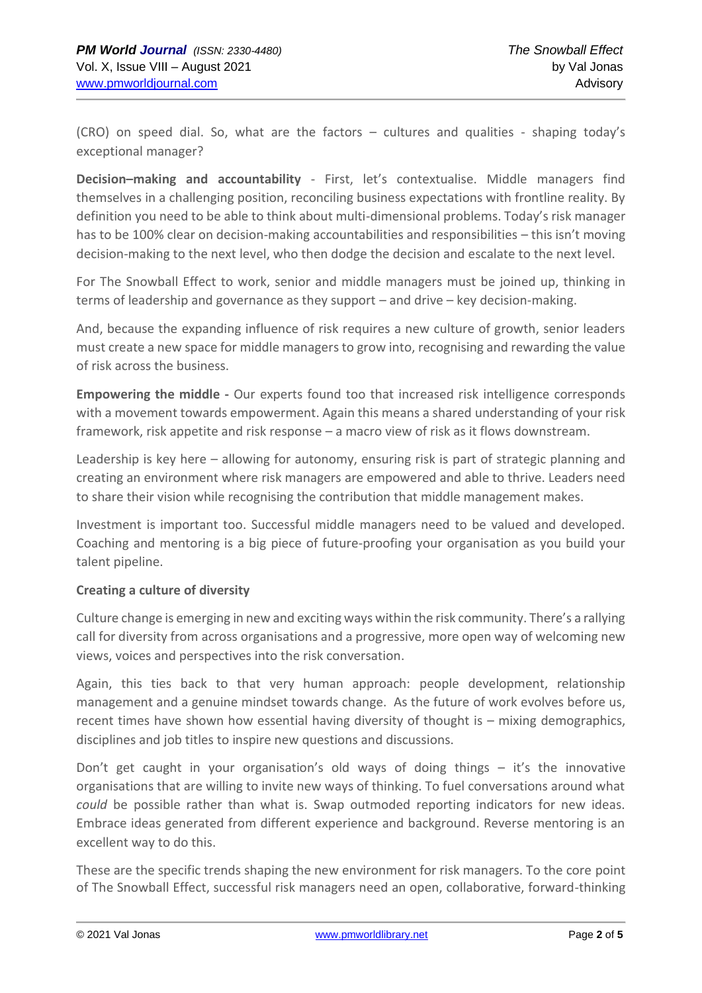(CRO) on speed dial. So, what are the factors – cultures and qualities - shaping today's exceptional manager?

**Decision–making and accountability** - First, let's contextualise. Middle managers find themselves in a challenging position, reconciling business expectations with frontline reality. By definition you need to be able to think about multi-dimensional problems. Today's risk manager has to be 100% clear on decision-making accountabilities and responsibilities – this isn't moving decision-making to the next level, who then dodge the decision and escalate to the next level.

For The Snowball Effect to work, senior and middle managers must be joined up, thinking in terms of leadership and governance as they support – and drive – key decision-making.

And, because the expanding influence of risk requires a new culture of growth, senior leaders must create a new space for middle managers to grow into, recognising and rewarding the value of risk across the business.

**Empowering the middle -** Our experts found too that increased risk intelligence corresponds with a movement towards empowerment. Again this means a shared understanding of your risk framework, risk appetite and risk response – a macro view of risk as it flows downstream.

Leadership is key here – allowing for autonomy, ensuring risk is part of strategic planning and creating an environment where risk managers are empowered and able to thrive. Leaders need to share their vision while recognising the contribution that middle management makes.

Investment is important too. Successful middle managers need to be valued and developed. Coaching and mentoring is a big piece of future-proofing your organisation as you build your talent pipeline.

#### **Creating a culture of diversity**

Culture change is emerging in new and exciting ways within the risk community. There's a rallying call for diversity from across organisations and a progressive, more open way of welcoming new views, voices and perspectives into the risk conversation.

Again, this ties back to that very human approach: people development, relationship management and a genuine mindset towards change. As the future of work evolves before us, recent times have shown how essential having diversity of thought is – mixing demographics, disciplines and job titles to inspire new questions and discussions.

Don't get caught in your organisation's old ways of doing things – it's the innovative organisations that are willing to invite new ways of thinking. To fuel conversations around what *could* be possible rather than what is. Swap outmoded reporting indicators for new ideas. Embrace ideas generated from different experience and background. Reverse mentoring is an excellent way to do this.

These are the specific trends shaping the new environment for risk managers. To the core point of The Snowball Effect, successful risk managers need an open, collaborative, forward-thinking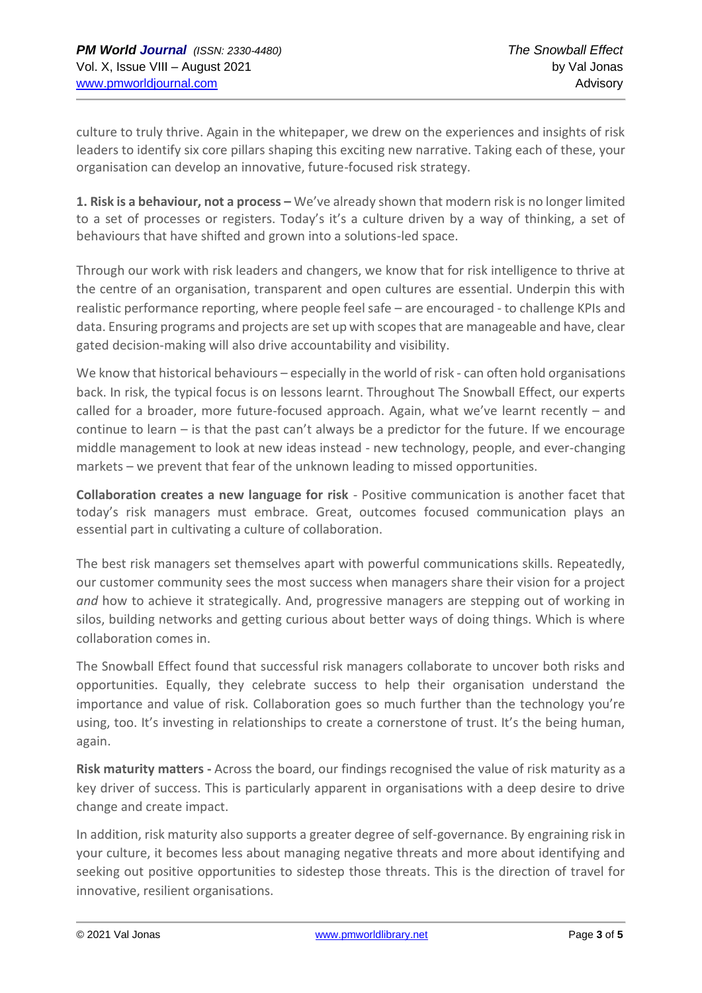culture to truly thrive. Again in the whitepaper, we drew on the experiences and insights of risk leaders to identify six core pillars shaping this exciting new narrative. Taking each of these, your organisation can develop an innovative, future-focused risk strategy.

**1. Risk is a behaviour, not a process –** We've already shown that modern risk is no longer limited to a set of processes or registers. Today's it's a culture driven by a way of thinking, a set of behaviours that have shifted and grown into a solutions-led space.

Through our work with risk leaders and changers, we know that for risk intelligence to thrive at the centre of an organisation, transparent and open cultures are essential. Underpin this with realistic performance reporting, where people feel safe – are encouraged - to challenge KPIs and data. Ensuring programs and projects are set up with scopes that are manageable and have, clear gated decision-making will also drive accountability and visibility.

We know that historical behaviours – especially in the world of risk - can often hold organisations back. In risk, the typical focus is on lessons learnt. Throughout The Snowball Effect, our experts called for a broader, more future-focused approach. Again, what we've learnt recently – and continue to learn – is that the past can't always be a predictor for the future. If we encourage middle management to look at new ideas instead - new technology, people, and ever-changing markets – we prevent that fear of the unknown leading to missed opportunities.

**Collaboration creates a new language for risk** - Positive communication is another facet that today's risk managers must embrace. Great, outcomes focused communication plays an essential part in cultivating a culture of collaboration.

The best risk managers set themselves apart with powerful communications skills. Repeatedly, our customer community sees the most success when managers share their vision for a project *and* how to achieve it strategically. And, progressive managers are stepping out of working in silos, building networks and getting curious about better ways of doing things. Which is where collaboration comes in.

The Snowball Effect found that successful risk managers collaborate to uncover both risks and opportunities. Equally, they celebrate success to help their organisation understand the importance and value of risk. Collaboration goes so much further than the technology you're using, too. It's investing in relationships to create a cornerstone of trust. It's the being human, again.

**Risk maturity matters -** Across the board, our findings recognised the value of risk maturity as a key driver of success. This is particularly apparent in organisations with a deep desire to drive change and create impact.

In addition, risk maturity also supports a greater degree of self-governance. By engraining risk in your culture, it becomes less about managing negative threats and more about identifying and seeking out positive opportunities to sidestep those threats. This is the direction of travel for innovative, resilient organisations.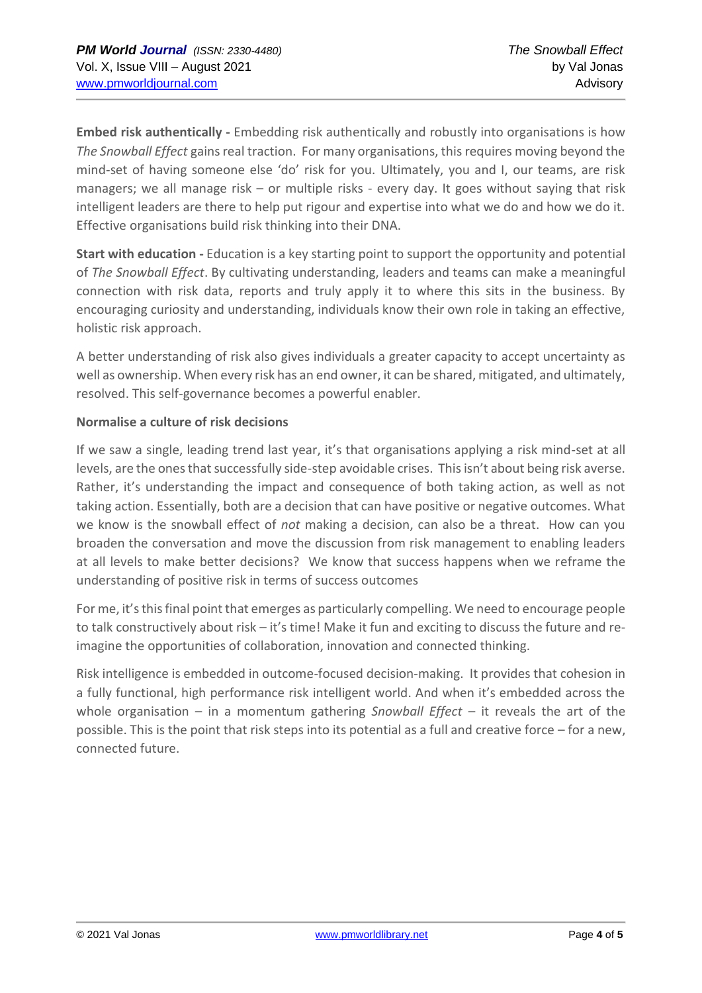**Embed risk authentically -** Embedding risk authentically and robustly into organisations is how *The Snowball Effect* gains real traction. For many organisations, this requires moving beyond the mind-set of having someone else 'do' risk for you. Ultimately, you and I, our teams, are risk managers; we all manage risk – or multiple risks - every day. It goes without saying that risk intelligent leaders are there to help put rigour and expertise into what we do and how we do it. Effective organisations build risk thinking into their DNA.

**Start with education -** Education is a key starting point to support the opportunity and potential of *The Snowball Effect*. By cultivating understanding, leaders and teams can make a meaningful connection with risk data, reports and truly apply it to where this sits in the business. By encouraging curiosity and understanding, individuals know their own role in taking an effective, holistic risk approach.

A better understanding of risk also gives individuals a greater capacity to accept uncertainty as well as ownership. When every risk has an end owner, it can be shared, mitigated, and ultimately, resolved. This self-governance becomes a powerful enabler.

#### **Normalise a culture of risk decisions**

If we saw a single, leading trend last year, it's that organisations applying a risk mind-set at all levels, are the ones that successfully side-step avoidable crises. This isn't about being risk averse. Rather, it's understanding the impact and consequence of both taking action, as well as not taking action. Essentially, both are a decision that can have positive or negative outcomes. What we know is the snowball effect of *not* making a decision, can also be a threat. How can you broaden the conversation and move the discussion from risk management to enabling leaders at all levels to make better decisions? We know that success happens when we reframe the understanding of positive risk in terms of success outcomes

For me, it's this final point that emerges as particularly compelling. We need to encourage people to talk constructively about risk – it's time! Make it fun and exciting to discuss the future and reimagine the opportunities of collaboration, innovation and connected thinking.

Risk intelligence is embedded in outcome-focused decision-making. It provides that cohesion in a fully functional, high performance risk intelligent world. And when it's embedded across the whole organisation – in a momentum gathering *Snowball Effect* – it reveals the art of the possible. This is the point that risk steps into its potential as a full and creative force – for a new, connected future.